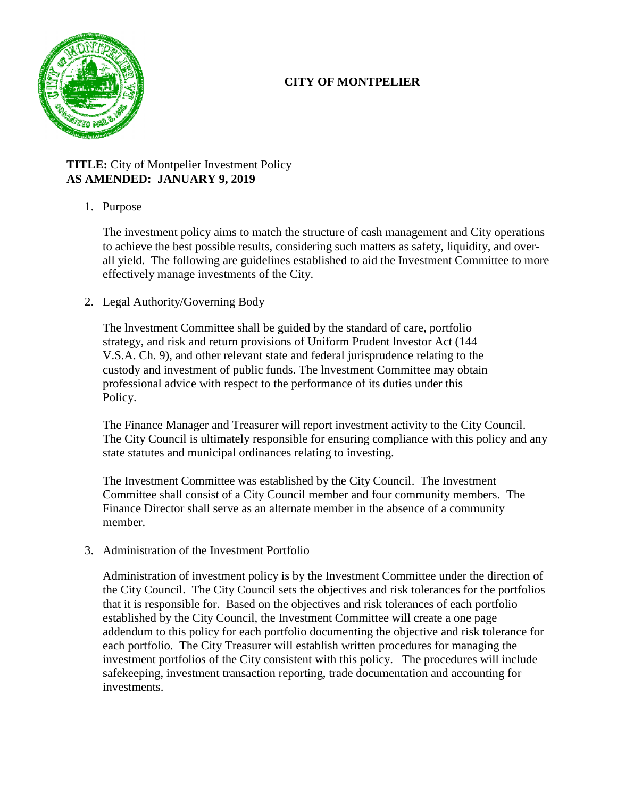# **CITY OF MONTPELIER**



## **TITLE:** City of Montpelier Investment Policy **AS AMENDED: JANUARY 9, 2019**

1. Purpose

The investment policy aims to match the structure of cash management and City operations to achieve the best possible results, considering such matters as safety, liquidity, and overall yield. The following are guidelines established to aid the Investment Committee to more effectively manage investments of the City.

2. Legal Authority/Governing Body

The lnvestment Committee shall be guided by the standard of care, portfolio strategy, and risk and return provisions of Uniform Prudent lnvestor Act (144 V.S.A. Ch. 9), and other relevant state and federal jurisprudence relating to the custody and investment of public funds. The lnvestment Committee may obtain professional advice with respect to the performance of its duties under this Policy.

The Finance Manager and Treasurer will report investment activity to the City Council. The City Council is ultimately responsible for ensuring compliance with this policy and any state statutes and municipal ordinances relating to investing.

The Investment Committee was established by the City Council. The Investment Committee shall consist of a City Council member and four community members. The Finance Director shall serve as an alternate member in the absence of a community member.

3. Administration of the Investment Portfolio

Administration of investment policy is by the Investment Committee under the direction of the City Council. The City Council sets the objectives and risk tolerances for the portfolios that it is responsible for. Based on the objectives and risk tolerances of each portfolio established by the City Council, the Investment Committee will create a one page addendum to this policy for each portfolio documenting the objective and risk tolerance for each portfolio. The City Treasurer will establish written procedures for managing the investment portfolios of the City consistent with this policy. The procedures will include safekeeping, investment transaction reporting, trade documentation and accounting for investments.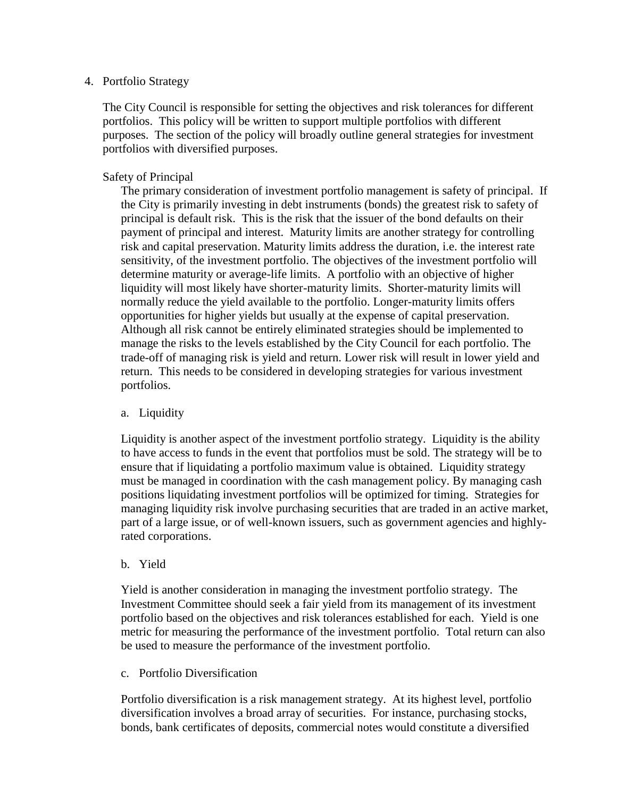#### 4. Portfolio Strategy

The City Council is responsible for setting the objectives and risk tolerances for different portfolios. This policy will be written to support multiple portfolios with different purposes. The section of the policy will broadly outline general strategies for investment portfolios with diversified purposes.

### Safety of Principal

The primary consideration of investment portfolio management is safety of principal. If the City is primarily investing in debt instruments (bonds) the greatest risk to safety of principal is default risk. This is the risk that the issuer of the bond defaults on their payment of principal and interest. Maturity limits are another strategy for controlling risk and capital preservation. Maturity limits address the duration, i.e. the interest rate sensitivity, of the investment portfolio. The objectives of the investment portfolio will determine maturity or average-life limits. A portfolio with an objective of higher liquidity will most likely have shorter-maturity limits. Shorter-maturity limits will normally reduce the yield available to the portfolio. Longer-maturity limits offers opportunities for higher yields but usually at the expense of capital preservation. Although all risk cannot be entirely eliminated strategies should be implemented to manage the risks to the levels established by the City Council for each portfolio. The trade-off of managing risk is yield and return. Lower risk will result in lower yield and return. This needs to be considered in developing strategies for various investment portfolios.

### a. Liquidity

Liquidity is another aspect of the investment portfolio strategy. Liquidity is the ability to have access to funds in the event that portfolios must be sold. The strategy will be to ensure that if liquidating a portfolio maximum value is obtained. Liquidity strategy must be managed in coordination with the cash management policy. By managing cash positions liquidating investment portfolios will be optimized for timing. Strategies for managing liquidity risk involve purchasing securities that are traded in an active market, part of a large issue, or of well-known issuers, such as government agencies and highlyrated corporations.

### b. Yield

Yield is another consideration in managing the investment portfolio strategy. The Investment Committee should seek a fair yield from its management of its investment portfolio based on the objectives and risk tolerances established for each. Yield is one metric for measuring the performance of the investment portfolio. Total return can also be used to measure the performance of the investment portfolio.

c. Portfolio Diversification

Portfolio diversification is a risk management strategy. At its highest level, portfolio diversification involves a broad array of securities. For instance, purchasing stocks, bonds, bank certificates of deposits, commercial notes would constitute a diversified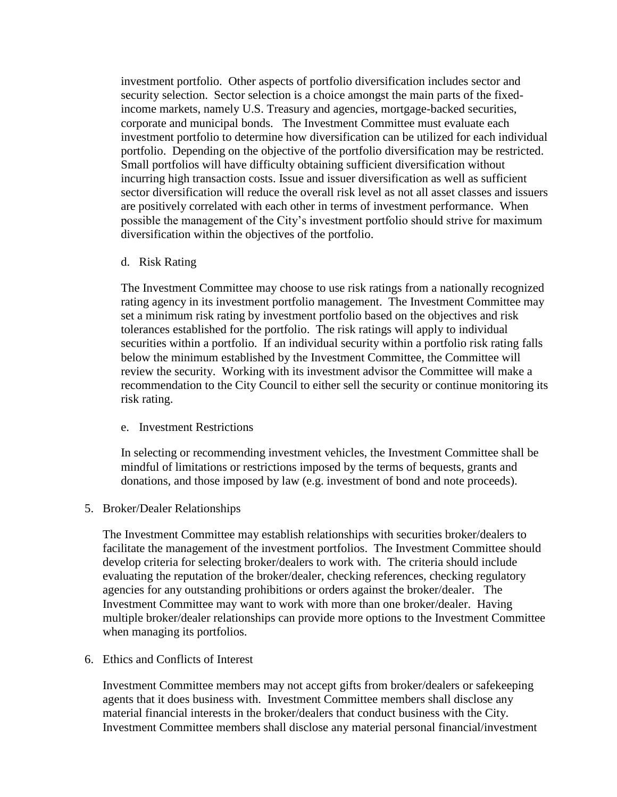investment portfolio. Other aspects of portfolio diversification includes sector and security selection. Sector selection is a choice amongst the main parts of the fixedincome markets, namely U.S. Treasury and agencies, mortgage-backed securities, corporate and municipal bonds. The Investment Committee must evaluate each investment portfolio to determine how diversification can be utilized for each individual portfolio. Depending on the objective of the portfolio diversification may be restricted. Small portfolios will have difficulty obtaining sufficient diversification without incurring high transaction costs. Issue and issuer diversification as well as sufficient sector diversification will reduce the overall risk level as not all asset classes and issuers are positively correlated with each other in terms of investment performance. When possible the management of the City's investment portfolio should strive for maximum diversification within the objectives of the portfolio.

d. Risk Rating

The Investment Committee may choose to use risk ratings from a nationally recognized rating agency in its investment portfolio management. The Investment Committee may set a minimum risk rating by investment portfolio based on the objectives and risk tolerances established for the portfolio. The risk ratings will apply to individual securities within a portfolio. If an individual security within a portfolio risk rating falls below the minimum established by the Investment Committee, the Committee will review the security. Working with its investment advisor the Committee will make a recommendation to the City Council to either sell the security or continue monitoring its risk rating.

e. Investment Restrictions

In selecting or recommending investment vehicles, the Investment Committee shall be mindful of limitations or restrictions imposed by the terms of bequests, grants and donations, and those imposed by law (e.g. investment of bond and note proceeds).

5. Broker/Dealer Relationships

The Investment Committee may establish relationships with securities broker/dealers to facilitate the management of the investment portfolios. The Investment Committee should develop criteria for selecting broker/dealers to work with. The criteria should include evaluating the reputation of the broker/dealer, checking references, checking regulatory agencies for any outstanding prohibitions or orders against the broker/dealer. The Investment Committee may want to work with more than one broker/dealer. Having multiple broker/dealer relationships can provide more options to the Investment Committee when managing its portfolios.

6. Ethics and Conflicts of Interest

Investment Committee members may not accept gifts from broker/dealers or safekeeping agents that it does business with. Investment Committee members shall disclose any material financial interests in the broker/dealers that conduct business with the City. Investment Committee members shall disclose any material personal financial/investment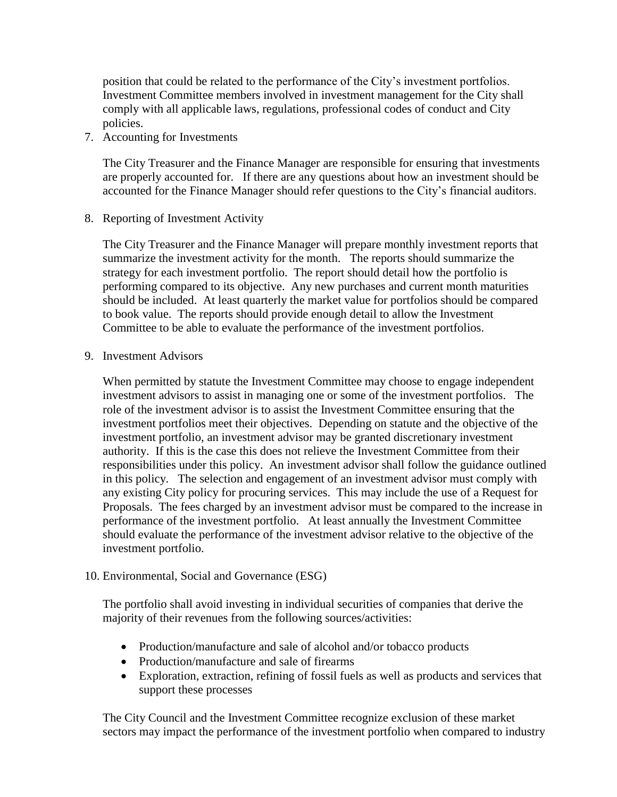position that could be related to the performance of the City's investment portfolios. Investment Committee members involved in investment management for the City shall comply with all applicable laws, regulations, professional codes of conduct and City policies.

7. Accounting for Investments

The City Treasurer and the Finance Manager are responsible for ensuring that investments are properly accounted for. If there are any questions about how an investment should be accounted for the Finance Manager should refer questions to the City's financial auditors.

8. Reporting of Investment Activity

The City Treasurer and the Finance Manager will prepare monthly investment reports that summarize the investment activity for the month. The reports should summarize the strategy for each investment portfolio. The report should detail how the portfolio is performing compared to its objective. Any new purchases and current month maturities should be included. At least quarterly the market value for portfolios should be compared to book value. The reports should provide enough detail to allow the Investment Committee to be able to evaluate the performance of the investment portfolios.

9. Investment Advisors

When permitted by statute the Investment Committee may choose to engage independent investment advisors to assist in managing one or some of the investment portfolios. The role of the investment advisor is to assist the Investment Committee ensuring that the investment portfolios meet their objectives. Depending on statute and the objective of the investment portfolio, an investment advisor may be granted discretionary investment authority. If this is the case this does not relieve the Investment Committee from their responsibilities under this policy. An investment advisor shall follow the guidance outlined in this policy. The selection and engagement of an investment advisor must comply with any existing City policy for procuring services. This may include the use of a Request for Proposals. The fees charged by an investment advisor must be compared to the increase in performance of the investment portfolio. At least annually the Investment Committee should evaluate the performance of the investment advisor relative to the objective of the investment portfolio.

10. Environmental, Social and Governance (ESG)

The portfolio shall avoid investing in individual securities of companies that derive the majority of their revenues from the following sources/activities:

- Production/manufacture and sale of alcohol and/or tobacco products
- Production/manufacture and sale of firearms
- Exploration, extraction, refining of fossil fuels as well as products and services that support these processes

The City Council and the Investment Committee recognize exclusion of these market sectors may impact the performance of the investment portfolio when compared to industry